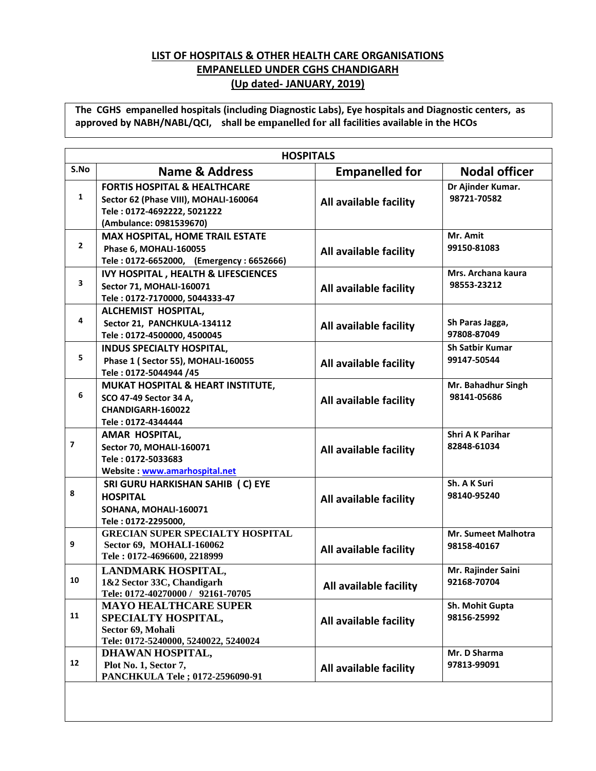## **LIST OF HOSPITALS & OTHER HEALTH CARE ORGANISATIONS EMPANELLED UNDER CGHS CHANDIGARH (Up dated- JANUARY, 2019)**

**The CGHS empanelled hospitals (including Diagnostic Labs), Eye hospitals and Diagnostic centers, as approved by NABH/NABL/QCI, shall be empanelled for all facilities available in the HCOs**

|                          | <b>HOSPITALS</b>                                                                                                                           |                        |                                        |  |  |
|--------------------------|--------------------------------------------------------------------------------------------------------------------------------------------|------------------------|----------------------------------------|--|--|
| S.No                     | <b>Name &amp; Address</b>                                                                                                                  | <b>Empanelled for</b>  | <b>Nodal officer</b>                   |  |  |
| 1                        | <b>FORTIS HOSPITAL &amp; HEALTHCARE</b><br>Sector 62 (Phase VIII), MOHALI-160064<br>Tele: 0172-4692222, 5021222<br>(Ambulance: 0981539670) | All available facility | Dr Ajinder Kumar.<br>98721-70582       |  |  |
| $\mathbf{2}$             | <b>MAX HOSPITAL, HOME TRAIL ESTATE</b><br>Phase 6, MOHALI-160055<br>Tele: 0172-6652000, (Emergency: 6652666)                               | All available facility | Mr. Amit<br>99150-81083                |  |  |
| 3                        | <b>IVY HOSPITAL, HEALTH &amp; LIFESCIENCES</b><br>Sector 71, MOHALI-160071<br>Tele: 0172-7170000, 5044333-47                               | All available facility | Mrs. Archana kaura<br>98553-23212      |  |  |
| 4                        | ALCHEMIST HOSPITAL,<br>Sector 21, PANCHKULA-134112<br>Tele: 0172-4500000, 4500045                                                          | All available facility | Sh Paras Jagga,<br>97808-87049         |  |  |
| 5                        | <b>INDUS SPECIALTY HOSPITAL,</b><br>Phase 1 (Sector 55), MOHALI-160055<br>Tele: 0172-5044944 /45                                           | All available facility | <b>Sh Satbir Kumar</b><br>99147-50544  |  |  |
| 6                        | MUKAT HOSPITAL & HEART INSTITUTE,<br>SCO 47-49 Sector 34 A,<br>CHANDIGARH-160022<br>Tele: 0172-4344444                                     | All available facility | Mr. Bahadhur Singh<br>98141-05686      |  |  |
| $\overline{\phantom{a}}$ | AMAR HOSPITAL,<br>Sector 70, MOHALI-160071<br>Tele: 0172-5033683<br>Website: www.amarhospital.net                                          | All available facility | <b>Shri A K Parihar</b><br>82848-61034 |  |  |
| 8                        | SRI GURU HARKISHAN SAHIB (C) EYE<br><b>HOSPITAL</b><br>SOHANA, MOHALI-160071<br>Tele: 0172-2295000,                                        | All available facility | Sh. A K Suri<br>98140-95240            |  |  |
| 9                        | <b>GRECIAN SUPER SPECIALTY HOSPITAL</b><br>Sector 69, MOHALI-160062<br>Tele: 0172-4696600, 2218999                                         | All available facility | Mr. Sumeet Malhotra<br>98158-40167     |  |  |
| 10                       | LANDMARK HOSPITAL,<br>1&2 Sector 33C, Chandigarh<br>Tele: 0172-40270000 / 92161-70705                                                      | All available facility | Mr. Rajinder Saini<br>92168-70704      |  |  |
| 11                       | <b>MAYO HEALTHCARE SUPER</b><br>SPECIALTY HOSPITAL,<br>Sector 69, Mohali<br>Tele: 0172-5240000, 5240022, 5240024                           | All available facility | Sh. Mohit Gupta<br>98156-25992         |  |  |
| 12                       | DHAWAN HOSPITAL,<br>Plot No. 1, Sector 7,<br>PANCHKULA Tele; 0172-2596090-91                                                               | All available facility | Mr. D Sharma<br>97813-99091            |  |  |
|                          |                                                                                                                                            |                        |                                        |  |  |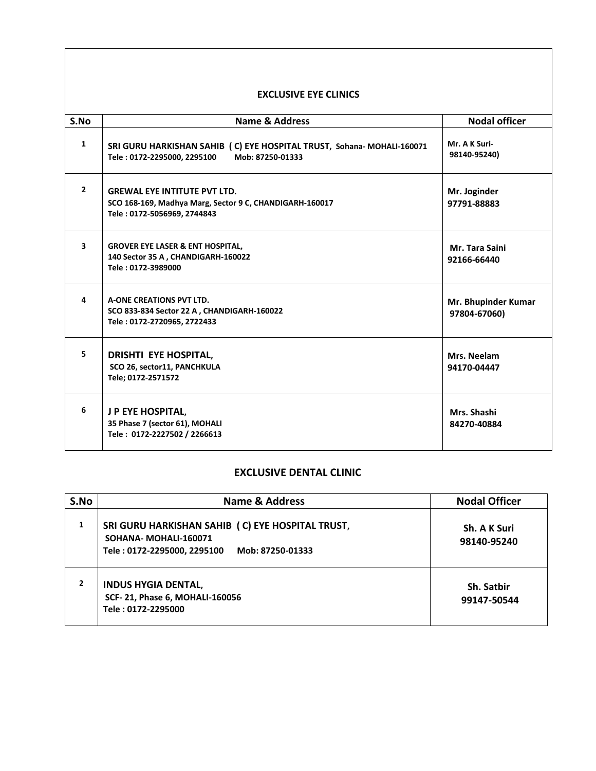## **EXCLUSIVE EYE CLINICS**

| S.No           | <b>Name &amp; Address</b>                                                                                                     | <b>Nodal officer</b>                |  |  |  |
|----------------|-------------------------------------------------------------------------------------------------------------------------------|-------------------------------------|--|--|--|
| $\mathbf{1}$   | SRI GURU HARKISHAN SAHIB (C) EYE HOSPITAL TRUST, Sohana-MOHALI-160071<br>Tele: 0172-2295000, 2295100<br>Mob: 87250-01333      | Mr. A K Suri-<br>98140-95240)       |  |  |  |
| $\overline{2}$ | <b>GREWAL EYE INTITUTE PVT LTD.</b><br>SCO 168-169, Madhya Marg, Sector 9 C, CHANDIGARH-160017<br>Tele: 0172-5056969, 2744843 | Mr. Joginder<br>97791-88883         |  |  |  |
| 3              | <b>GROVER EYE LASER &amp; ENT HOSPITAL,</b><br>140 Sector 35 A, CHANDIGARH-160022<br>Tele: 0172-3989000                       | Mr. Tara Saini<br>92166-66440       |  |  |  |
| 4              | A-ONE CREATIONS PVT LTD.<br>SCO 833-834 Sector 22 A, CHANDIGARH-160022<br>Tele: 0172-2720965, 2722433                         | Mr. Bhupinder Kumar<br>97804-67060) |  |  |  |
| 5.             | <b>DRISHTI EYE HOSPITAL,</b><br>SCO 26, sector11, PANCHKULA<br>Tele; 0172-2571572                                             | Mrs. Neelam<br>94170-04447          |  |  |  |
| 6              | J P EYE HOSPITAL,<br>35 Phase 7 (sector 61), MOHALI<br>Tele: 0172-2227502 / 2266613                                           | Mrs. Shashi<br>84270-40884          |  |  |  |

## **EXCLUSIVE DENTAL CLINIC**

| S.No | <b>Name &amp; Address</b>                                                                                                   | <b>Nodal Officer</b>        |  |
|------|-----------------------------------------------------------------------------------------------------------------------------|-----------------------------|--|
| 1    | SRI GURU HARKISHAN SAHIB (C) EYE HOSPITAL TRUST,<br>SOHANA-MOHALI-160071<br>Tele: 0172-2295000, 2295100<br>Mob: 87250-01333 | Sh. A K Suri<br>98140-95240 |  |
| 2    | <b>INDUS HYGIA DENTAL,</b><br>SCF-21, Phase 6, MOHALI-160056<br>Tele: 0172-2295000                                          | Sh. Satbir<br>99147-50544   |  |